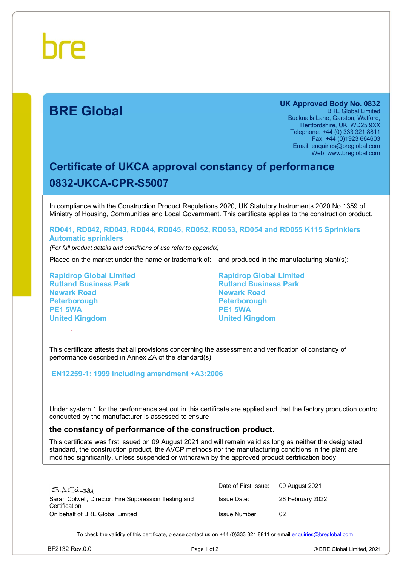# **BRE Global**

**UK Approved Body No. 0832**  BRE Global Limited Bucknalls Lane, Garston, Watford, Hertfordshire, UK, WD25 9XX Telephone: +44 (0) 333 321 8811 Fax: +44 (0)1923 664603 Email: [enquiries@breglobal.com](mailto:enquiries@breglobal.com) Web: [www.breglobal.com](http://www.breglobal.com)

## **Certificate of UKCA approval constancy of performance 0832-UKCA-CPR-S5007**

In compliance with the Construction Product Regulations 2020, UK Statutory Instruments 2020 No.1359 of Ministry of Housing, Communities and Local Government. This certificate applies to the construction product.

#### **RD041, RD042, RD043, RD044, RD045, RD052, RD053, RD054 and RD055 K115 Sprinklers Automatic sprinklers**

*(For full product details and conditions of use refer to appendix)*

Placed on the market under the name or trademark of: and produced in the manufacturing plant(s):

**Rapidrop Global Limited Rutland Business Park Newark Road Peterborough PE1 5WA United Kingdom**

**Rapidrop Global Limited Rutland Business Park Newark Road Peterborough PE1 5WA United Kingdom**

This certificate attests that all provisions concerning the assessment and verification of constancy of performance described in Annex ZA of the standard(s)

#### **EN12259-1: 1999 including amendment +A3:2006**

Under system 1 for the performance set out in this certificate are applied and that the factory production control conducted by the manufacturer is assessed to ensure

### **the constancy of performance of the construction product**.

This certificate was first issued on 09 August 2021 and will remain valid as long as neither the designated standard, the construction product, the AVCP methods nor the manufacturing conditions in the plant are modified significantly, unless suspended or withdrawn by the approved product certification body.

| SACLUAL                                                                | Date of First Issue: | 09 August 2021   |
|------------------------------------------------------------------------|----------------------|------------------|
| Sarah Colwell, Director, Fire Suppression Testing and<br>Certification | Issue Date:          | 28 February 2022 |
| On behalf of BRE Global Limited                                        | Issue Number:        | 02               |

To check the validity of this certificate, please contact us on +44 (0)333 321 8811 or email [enquiries@breglobal.com](mailto:enquiries@breglobal.com)